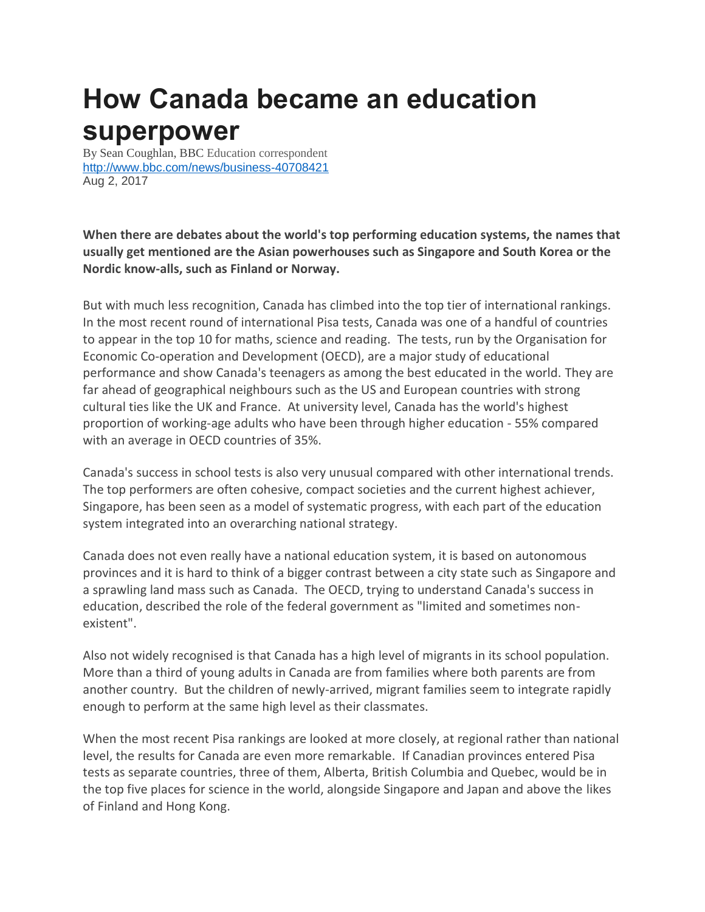## **How Canada became an education superpower**

By Sean Coughlan, BBC Education correspondent <http://www.bbc.com/news/business-40708421> Aug 2, 2017

**When there are debates about the world's top performing education systems, the names that usually get mentioned are the Asian powerhouses such as Singapore and South Korea or the Nordic know-alls, such as Finland or Norway.**

But with much less recognition, Canada has climbed into the top tier of international rankings. In the most recent round of international Pisa tests, Canada was one of a handful of countries to appear in the top 10 for maths, science and reading. The tests, run by the Organisation for Economic Co-operation and Development (OECD), are a major study of educational performance and show Canada's teenagers as among the best educated in the world. They are far ahead of geographical neighbours such as the US and European countries with strong cultural ties like the UK and France. At university level, Canada has the world's highest proportion of working-age adults who have been through higher education - 55% compared with an average in OECD countries of 35%.

Canada's success in school tests is also very unusual compared with other international trends. The top performers are often cohesive, compact societies and the current highest achiever, Singapore, has been seen as a model of systematic progress, with each part of the education system integrated into an overarching national strategy.

Canada does not even really have a national education system, it is based on autonomous provinces and it is hard to think of a bigger contrast between a city state such as Singapore and a sprawling land mass such as Canada. The OECD, trying to understand Canada's success in education, described the role of the federal government as "limited and sometimes nonexistent".

Also not widely recognised is that Canada has a high level of migrants in its school population. More than a third of young adults in Canada are from families where both parents are from another country. But the children of newly-arrived, migrant families seem to integrate rapidly enough to perform at the same high level as their classmates.

When the most recent Pisa rankings are looked at more closely, at regional rather than national level, the results for Canada are even more remarkable. If Canadian provinces entered Pisa tests as separate countries, three of them, Alberta, British Columbia and Quebec, would be in the top five places for science in the world, alongside Singapore and Japan and above the likes of Finland and Hong Kong.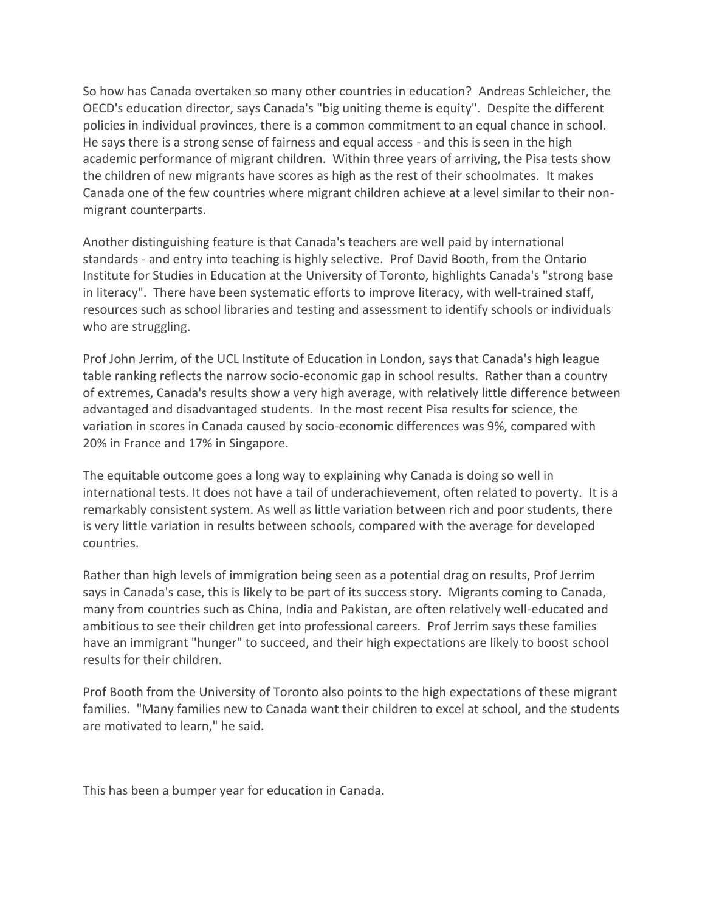So how has Canada overtaken so many other countries in education? Andreas Schleicher, the OECD's education director, says Canada's "big uniting theme is equity". Despite the different policies in individual provinces, there is a common commitment to an equal chance in school. He says there is a strong sense of fairness and equal access - and this is seen in the high academic performance of migrant children. Within three years of arriving, the Pisa tests show the children of new migrants have scores as high as the rest of their schoolmates. It makes Canada one of the few countries where migrant children achieve at a level similar to their nonmigrant counterparts.

Another distinguishing feature is that Canada's teachers are well paid by international standards - and entry into teaching is highly selective. Prof David Booth, from the Ontario Institute for Studies in Education at the University of Toronto, highlights Canada's "strong base in literacy". There have been systematic efforts to improve literacy, with well-trained staff, resources such as school libraries and testing and assessment to identify schools or individuals who are struggling.

Prof John Jerrim, of the UCL Institute of Education in London, says that Canada's high league table ranking reflects the narrow socio-economic gap in school results. Rather than a country of extremes, Canada's results show a very high average, with relatively little difference between advantaged and disadvantaged students. In the most recent Pisa results for science, the variation in scores in Canada caused by socio-economic differences was 9%, compared with 20% in France and 17% in Singapore.

The equitable outcome goes a long way to explaining why Canada is doing so well in international tests. It does not have a tail of underachievement, often related to poverty. It is a remarkably consistent system. As well as little variation between rich and poor students, there is very little variation in results between schools, compared with the average for developed countries.

Rather than high levels of immigration being seen as a potential drag on results, Prof Jerrim says in Canada's case, this is likely to be part of its success story. Migrants coming to Canada, many from countries such as China, India and Pakistan, are often relatively well-educated and ambitious to see their children get into professional careers. Prof Jerrim says these families have an immigrant "hunger" to succeed, and their high expectations are likely to boost school results for their children.

Prof Booth from the University of Toronto also points to the high expectations of these migrant families. "Many families new to Canada want their children to excel at school, and the students are motivated to learn," he said.

This has been a bumper year for education in Canada.